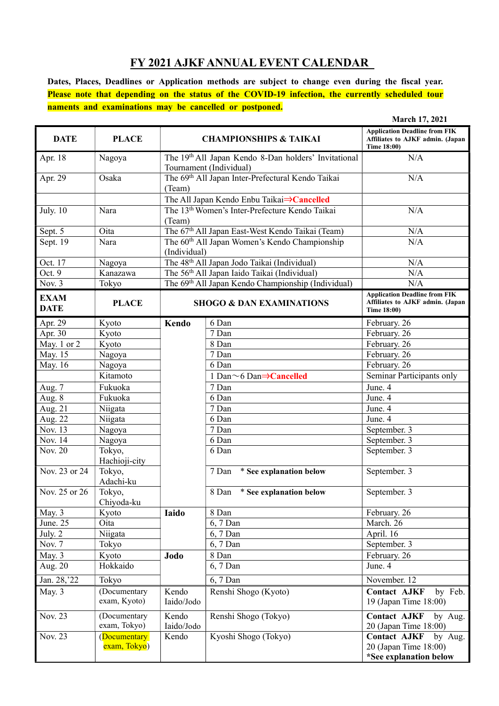## **FY 2021 AJKF ANNUAL EVENT CALENDAR**

**Dates, Places, Deadlines or Application methods are subject to change even during the fiscal year. Please note that depending on the status of the COVID-19 infection, the currently scheduled tour naments and examinations may be cancelled or postponed.** 

|                            |                              |                                                                                 |                                  | March 17, 2021                                                                                 |
|----------------------------|------------------------------|---------------------------------------------------------------------------------|----------------------------------|------------------------------------------------------------------------------------------------|
| <b>DATE</b>                | <b>PLACE</b>                 | <b>CHAMPIONSHIPS &amp; TAIKAI</b>                                               |                                  | <b>Application Deadline from FIK</b><br>Affiliates to AJKF admin. (Japan<br>Time 18:00)        |
| Apr. 18                    | Nagoya                       | The 19th All Japan Kendo 8-Dan holders' Invitational<br>Tournament (Individual) |                                  | N/A                                                                                            |
| Apr. 29                    | Osaka                        | The 69th All Japan Inter-Prefectural Kendo Taikai<br>(Team)                     |                                  | N/A                                                                                            |
|                            |                              | The All Japan Kendo Enbu Taikai⇒Cancelled                                       |                                  |                                                                                                |
| <b>July.</b> 10            | Nara                         | The 13 <sup>th</sup> Women's Inter-Prefecture Kendo Taikai<br>(Team)            |                                  | N/A                                                                                            |
| Sept. 5                    | Oita                         | The 67 <sup>th</sup> All Japan East-West Kendo Taikai (Team)                    |                                  | N/A                                                                                            |
| Sept. 19                   | Nara                         | The 60 <sup>th</sup> All Japan Women's Kendo Championship<br>(Individual)       |                                  | N/A                                                                                            |
| Oct. 17                    | Nagoya                       | The 48 <sup>th</sup> All Japan Jodo Taikai (Individual)                         |                                  | N/A                                                                                            |
| Oct. 9                     | Kanazawa                     | The 56 <sup>th</sup> All Japan Iaido Taikai (Individual)                        |                                  | N/A                                                                                            |
| Nov. 3                     | Tokyo                        | The 69 <sup>th</sup> All Japan Kendo Championship (Individual)                  |                                  | N/A                                                                                            |
| <b>EXAM</b><br><b>DATE</b> | <b>PLACE</b>                 | <b>SHOGO &amp; DAN EXAMINATIONS</b>                                             |                                  | <b>Application Deadline from FIK</b><br>Affiliates to AJKF admin. (Japan<br><b>Time 18:00)</b> |
| Apr. 29                    | Kyoto                        | Kendo                                                                           | 6 Dan                            | February. 26                                                                                   |
| Apr. 30                    | Kyoto                        |                                                                                 | 7 Dan                            | February. 26                                                                                   |
| May. 1 or 2                | Kyoto                        |                                                                                 | 8 Dan                            | February. 26                                                                                   |
| May. 15                    | Nagoya                       |                                                                                 | 7 Dan                            | February. 26                                                                                   |
| May. 16                    | Nagoya                       |                                                                                 | 6 Dan                            | February. 26                                                                                   |
|                            | Kitamoto                     |                                                                                 | 1 Dan~6 Dan⇒Cancelled            | Seminar Participants only                                                                      |
| Aug. 7                     | Fukuoka                      |                                                                                 | 7 Dan                            | June. 4                                                                                        |
| Aug. 8                     | Fukuoka                      |                                                                                 | 6 Dan                            | June. 4                                                                                        |
| Aug. 21                    | Niigata                      |                                                                                 | 7 Dan                            | June. 4                                                                                        |
| Aug. 22                    | Niigata                      |                                                                                 | 6 Dan                            | June. 4                                                                                        |
| Nov. 13                    | Nagoya                       |                                                                                 | 7 Dan                            | September. 3                                                                                   |
| Nov. 14                    | Nagoya                       |                                                                                 | 6 Dan                            | September. 3                                                                                   |
| Nov. 20                    | Tokyo,<br>Hachioji-city      |                                                                                 | 6 Dan                            | September. 3                                                                                   |
| Nov. 23 or 24              | Tokyo,<br>Adachi-ku          |                                                                                 | * See explanation below<br>7 Dan | September. 3                                                                                   |
| Nov. 25 or 26              | Tokyo,<br>Chiyoda-ku         |                                                                                 | 8 Dan * See explanation below    | September. 3                                                                                   |
| May. 3                     | Kyoto                        | Iaido                                                                           | 8 Dan                            | February. 26                                                                                   |
| June. 25                   | Oita                         |                                                                                 | 6, 7 Dan                         | March. 26                                                                                      |
| July. 2                    | Niigata                      |                                                                                 | 6, 7 Dan                         | April. 16                                                                                      |
| Nov. 7                     | Tokyo                        |                                                                                 | 6, 7 Dan                         | September. 3                                                                                   |
| May. 3                     | Kyoto                        | Jodo                                                                            | 8 Dan                            | February. 26                                                                                   |
| Aug. 20                    | Hokkaido                     |                                                                                 | 6, 7 Dan                         | June. 4                                                                                        |
| Jan. 28, 22                | Tokyo                        |                                                                                 | 6, 7 Dan                         | November. 12                                                                                   |
| May. 3                     | (Documentary<br>exam, Kyoto) | Kendo<br>Iaido/Jodo                                                             | Renshi Shogo (Kyoto)             | <b>Contact AJKF</b><br>by Feb.<br>19 (Japan Time 18:00)                                        |
| Nov. 23                    | (Documentary<br>exam, Tokyo) | Kendo<br>Iaido/Jodo                                                             | Renshi Shogo (Tokyo)             | <b>Contact AJKF</b><br>by Aug.<br>20 (Japan Time 18:00)                                        |
| Nov. 23                    | (Documentary<br>exam, Tokyo) | Kendo                                                                           | Kyoshi Shogo (Tokyo)             | <b>Contact AJKF</b><br>by Aug.<br>20 (Japan Time 18:00)<br>*See explanation below              |
|                            |                              |                                                                                 |                                  |                                                                                                |